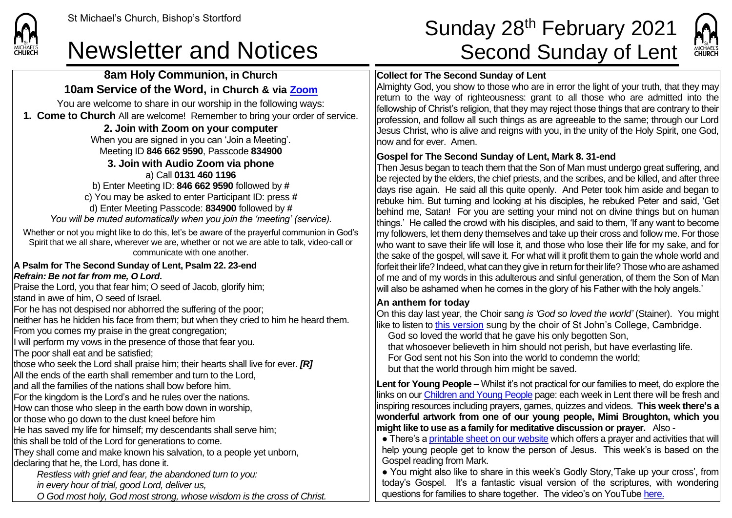# St Michael's Church, Bishop's Stortford  $\textsf{Sunday 28}^{\text{th}}$   $\textsf{February 2021}$ Newsletter and Notices Second Sunday of Lent



# **Collect for The Second Sunday of Lent**

Almighty God, you show to those who are in error the light of your truth, that they may return to the way of righteousness: grant to all those who are admitted into the fellowship of Christ's religion, that they may reject those things that are contrary to their profession, and follow all such things as are agreeable to the same; through our Lord Jesus Christ, who is alive and reigns with you, in the unity of the Holy Spirit, one God, now and for ever. Amen.

# **Gospel for The Second Sunday of Lent, Mark 8. 31-end**

Then Jesus began to teach them that the Son of Man must undergo great suffering, and be rejected by the elders, the chief priests, and the scribes, and be killed, and after three days rise again. He said all this quite openly. And Peter took him aside and began to rebuke him. But turning and looking at his disciples, he rebuked Peter and said, 'Get behind me, Satan! For you are setting your mind not on divine things but on human things.' He called the crowd with his disciples, and said to them, 'If any want to become my followers, let them deny themselves and take up their cross and follow me. For those who want to save their life will lose it, and those who lose their life for my sake, and for the sake of the gospel, will save it. For what will it profit them to gain the whole world and forfeit their life?Indeed, what can they give in return for their life?Those who are ashamed  $\sigma$  of me and of my words in this adulterous and sinful generation, of them the Son of Man will also be ashamed when he comes in the glory of his Father with the holy angels.'

# **An anthem for today**

On this day last year, the Choir sang *is 'God so loved the world'* (Stainer). You might like to listen to [this version](https://www.youtube.com/watch?v=nzk5K-p6ScM) sung by the choir of St John's College, Cambridge.

God so loved the world that he gave his only begotten Son,

that whosoever believeth in him should not perish, but have everlasting life.

For God sent not his Son into the world to condemn the world;

but that the world through him might be saved.

**Lent for Young People –** Whilst it's not practical for our families to meet, do explore the links on ou[r Children and Young People](https://saintmichaelweb.org.uk/Groups/310496/Children_and_Young.aspx) page: each week in Lent there will be fresh and inspiring resources including prayers, games, quizzes and videos. **This week there's a wonderful artwork from one of our young people, Mimi Broughton, which you might like to use as a family for meditative discussion or prayer.** Also -

• There's [a printable sheet on our website](https://saintmichaelweb.org.uk/Groups/310496/Children_and_Young.aspx) which offers a prayer and activities that will help young people get to know the person of Jesus. This week's is based on the Gospel reading from Mark.

● You might also like to share in this week's Godly Story,'Take up your cross', from today's Gospel. It's a fantastic visual version of the scriptures, with wondering questions for families to share together. The video's on YouTub[e here.](https://www.youtube.com/watch?v=uua2dqOmcM4)

**8am Holy Communion, in Church 10am Service of the Word, in Church & via [Zoom](https://zoom.us/)**

You are welcome to share in our worship in the following ways: **1. Come to Church** All are welcome! Remember to bring your order of service.

### **2. Join with Zoom on your computer**

When you are signed in you can 'Join a Meeting'. Meeting ID **846 662 9590**, Passcode **834900 3. Join with Audio Zoom via phone** 

### a) Call **0131 460 1196**

b) Enter Meeting ID: **846 662 9590** followed by **#** c) You may be asked to enter Participant ID: press **#** d) Enter Meeting Passcode: **834900** followed by **#** *You will be muted automatically when you join the 'meeting' (service).*

Whether or not you might like to do this, let's be aware of the prayerful communion in God's Spirit that we all share, wherever we are, whether or not we are able to talk, video-call or communicate with one another.

#### **A Psalm for The Second Sunday of Lent, Psalm 22. 23-end** *Refrain: Be not far from me, O Lord.*

Praise the Lord, you that fear him; O seed of Jacob, glorify him; stand in awe of him, O seed of Israel.

For he has not despised nor abhorred the suffering of the poor;

neither has he hidden his face from them; but when they cried to him he heard them.

From you comes my praise in the great congregation;

I will perform my vows in the presence of those that fear you.

The poor shall eat and be satisfied;

those who seek the Lord shall praise him; their hearts shall live for ever. *[R]* All the ends of the earth shall remember and turn to the Lord.

and all the families of the nations shall bow before him.

For the kingdom is the Lord's and he rules over the nations.

How can those who sleep in the earth bow down in worship,

or those who go down to the dust kneel before him

He has saved my life for himself; my descendants shall serve him;

this shall be told of the Lord for generations to come.

They shall come and make known his salvation, to a people yet unborn, declaring that he, the Lord, has done it.

*Restless with grief and fear, the abandoned turn to you:*

*in every hour of trial, good Lord, deliver us,*

*O God most holy, God most strong, whose wisdom is the cross of Christ.*